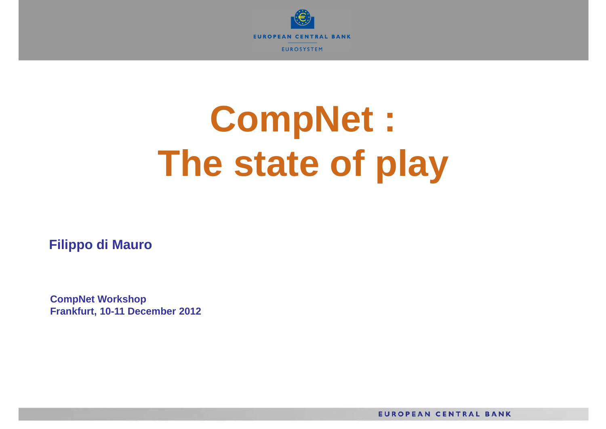

# **CompNet : The state of play**

**Filippo di Mauro** 

**CompNet Workshop Frankfurt, 10-11 December 2012**

**EUROPEAN CENTRAL BANK**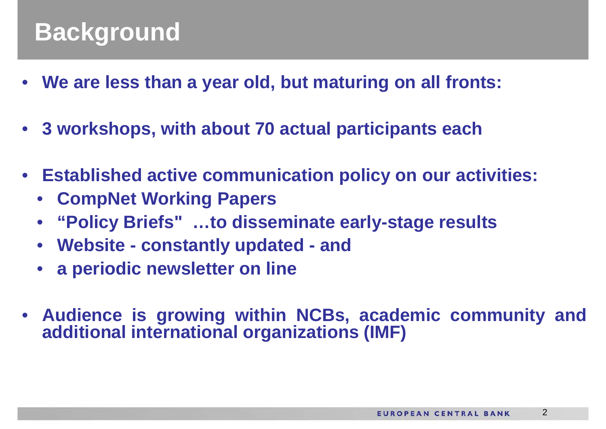## **Background**

- **We are less than <sup>a</sup> year old, but maturing on all fronts:**
- **3 workshops, with about 70 actual participants each**
- **Established active communication policy on our activities:**
	- **CompNet Working Papers**
	- **"Policy Briefs" …to disseminate early-stage results**
	- **Website - constantly updated - and**
	- **<sup>a</sup> periodic newsletter on line**
- $\bullet$  **Audience is growing within NCBs, academic community and additional international organizations (IMF)**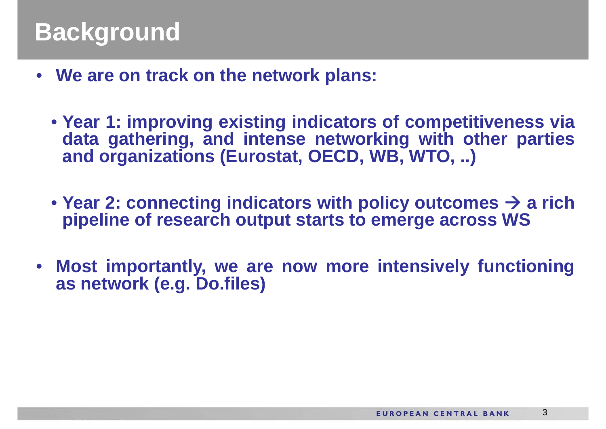- **We are on track on the network plans:**
	- **Year 1: improving existing indicators of competitiveness via data gathering, and intense networking with other parties and organizations (Eurostat, OECD, WB, WTO, ..)**
	- **Year 2: connecting indicators with policy outcomes <sup>a</sup> rich pipeline of research output starts to emerge across WS**
- $\bullet$  **Most importantly, we are now more intensively functioning as network (e.g. Do.files)**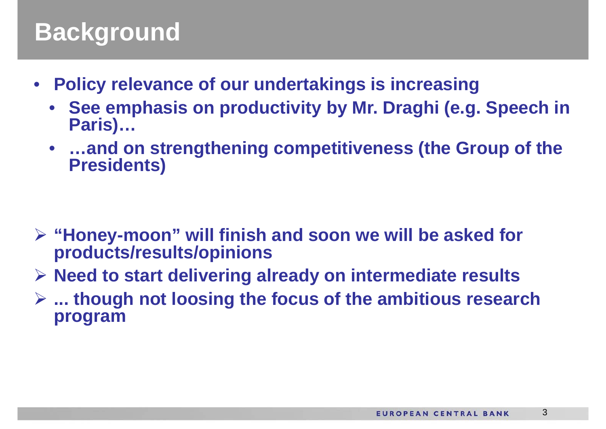## **Background**

- $\bullet$  **Policy relevance of our undertakings is increasing**
	- • **See emphasis on productivity by Mr. Draghi (e.g. Speech in Paris)…**
	- • **…and on strengthening competitiveness (the Group of the Presidents)**

- **"Honey-moon" will finish and soon we will be asked for products/results/opinions**
- **Need to start delivering already on intermediate results**
- **... though not loosing the focus of the ambitious research program**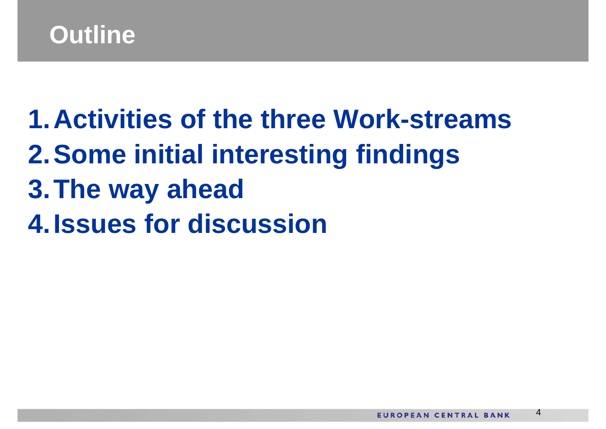## **Outline**

**1.Activities of the three Work-streams2.Some initial interesting findings 3.The way ahead 4.Issues for discussion**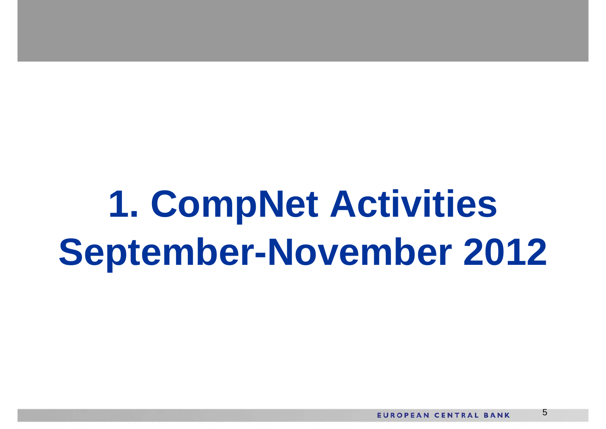**1. CompNet Activities September-November 2012**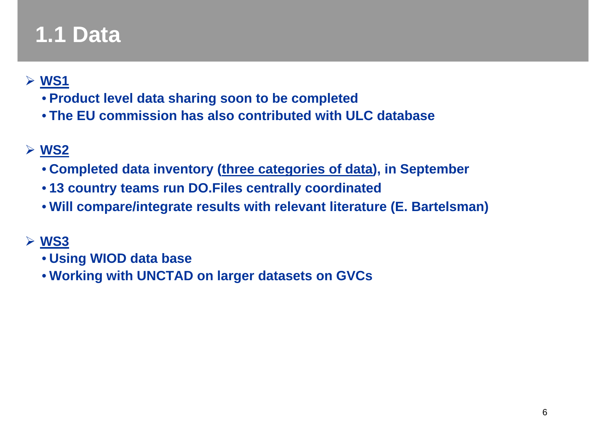## **1.1 Data**

#### **WS1**

- **Product level data sharing soon to be completed**
- **The EU commission has also contributed with ULC database**

#### **WS2**

- **Completed data inventory (three categories of data), in September**
- **13 country teams run DO.Files centrally coordinated**
- **Will compare/integrate results with relevant literature (E. Bartelsman)**

#### **WS3**

- **Using WIOD data base**
- **Working with UNCTAD on larger datasets on GVCs**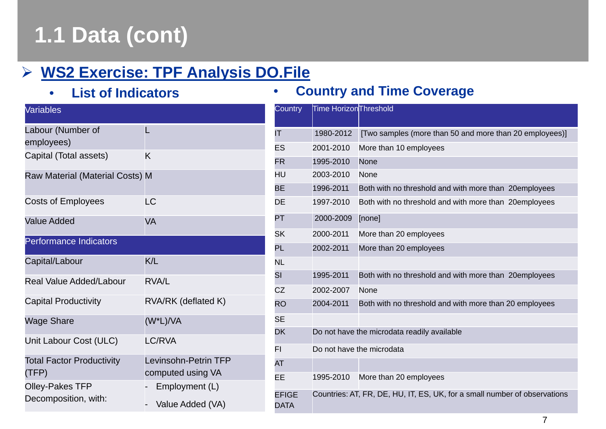## **1.1 Data (cont)**

#### **WS2 Exercise: TPF Analysis DO.File**

•**List of Indicators**

| <b>Variables</b>                               |                                           |
|------------------------------------------------|-------------------------------------------|
| Labour (Number of<br>employees)                | L                                         |
| Capital (Total assets)                         | Κ                                         |
| Raw Material (Material Costs) M                |                                           |
| <b>Costs of Employees</b>                      | LC                                        |
| <b>Value Added</b>                             | VA                                        |
| Performance Indicators                         |                                           |
| Capital/Labour                                 | K/L                                       |
| <b>Real Value Added/Labour</b>                 | <b>RVA/L</b>                              |
| <b>Capital Productivity</b>                    | RVA/RK (deflated K)                       |
| Wage Share                                     | (W*L)/VA                                  |
| Unit Labour Cost (ULC)                         | <b>LC/RVA</b>                             |
| <b>Total Factor Productivity</b><br>(TFP)      | Levinsohn-Petrin TFP<br>computed using VA |
| <b>Olley-Pakes TFP</b><br>Decomposition, with: | Employment (L)<br>Value Added (VA)        |

#### **Country and Time Coverage**

 $\bullet$ 

| Country              | Time HorizonThreshold                                                     |                                                         |  |
|----------------------|---------------------------------------------------------------------------|---------------------------------------------------------|--|
| ΙT                   | 1980-2012                                                                 | [Two samples (more than 50 and more than 20 employees)] |  |
| ES                   | 2001-2010                                                                 | More than 10 employees                                  |  |
| <b>FR</b>            | 1995-2010                                                                 | None                                                    |  |
| HU                   | 2003-2010                                                                 | None                                                    |  |
| ВE                   | 1996-2011                                                                 | Both with no threshold and with more than 20employees   |  |
| DE                   | 1997-2010                                                                 | Both with no threshold and with more than 20employees   |  |
| PT                   | 2000-2009                                                                 | [none]                                                  |  |
| SK                   | 2000-2011                                                                 | More than 20 employees                                  |  |
| PL                   | 2002-2011                                                                 | More than 20 employees                                  |  |
| <b>NL</b>            |                                                                           |                                                         |  |
| SI                   | 1995-2011                                                                 | Both with no threshold and with more than 20employees   |  |
| CZ                   | 2002-2007                                                                 | None                                                    |  |
| <b>RO</b>            | 2004-2011                                                                 | Both with no threshold and with more than 20 employees  |  |
| SE                   |                                                                           |                                                         |  |
| DK                   | Do not have the microdata readily available                               |                                                         |  |
| FI                   | Do not have the microdata                                                 |                                                         |  |
| AT                   |                                                                           |                                                         |  |
| EE                   | 1995-2010                                                                 | More than 20 employees                                  |  |
| <b>EFIGE</b><br>DATA | Countries: AT, FR, DE, HU, IT, ES, UK, for a small number of observations |                                                         |  |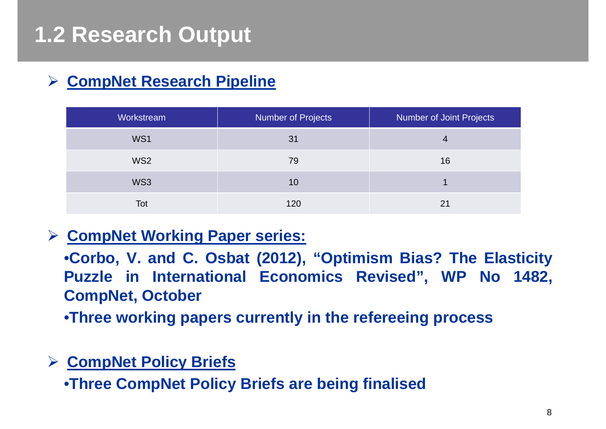#### $\blacktriangleright$ **CompNet Research Pipeline**

| Workstream      | <b>Number of Projects</b> | Number of Joint Projects |
|-----------------|---------------------------|--------------------------|
| WS1             | 31                        |                          |
| WS <sub>2</sub> | 79                        | 16                       |
| WS3             | 10                        |                          |
| Tot             | 120                       | 21                       |

#### **CompNet Working Paper series:**

•**Corbo, V. and C. Osbat (2012), "Optimism Bias? The Elasticity Puzzle in International Economics Revised", WP No 1482, CompNet, October**

•**Three working papers currently in the refereeing process**

#### **CompNet Policy Briefs**

•**Three CompNet Policy Briefs are being finalised**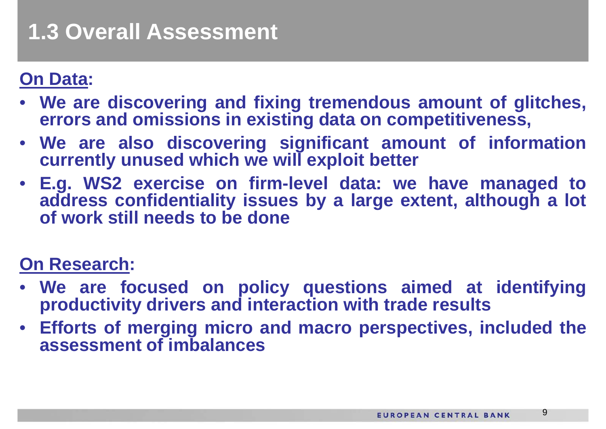## **1.3 Overall Assessment**

### **On Data:**

- $\bullet$  **We are discovering and fixing tremendous amount of glitches, errors and omissions in existing data on competitiveness,**
- **We are also discovering significant amount of information currently unused which we will exploit better**
- **E.g. WS2 exercise on firm-level data: we have managed to address confidentiality issues by <sup>a</sup> large extent, although <sup>a</sup> lot of work still needs to be done**

### **On Research:**

- **We are focused on policy questions aimed at identifying productivity drivers and interaction with trade results**
- **Efforts of merging micro and macro perspectives, included the assessment of imbalances**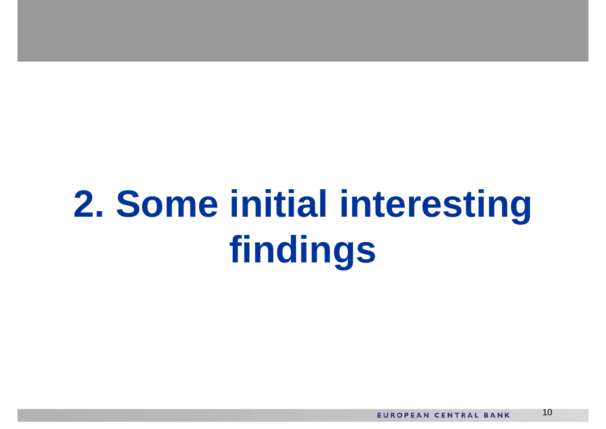# **2. Some initial interesting findings**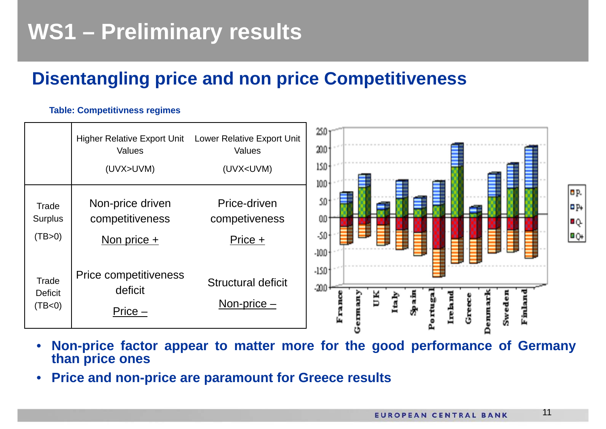## **WS1 – Preliminary results**

### **Disentangling price and non price Competitiveness**

#### **Table: Competitivness regimes**



- •Non-price factor appear to matter more for the good performance of Germany **than price ones**
- $\bullet$ **Price and non-price are paramount for Greece results**

11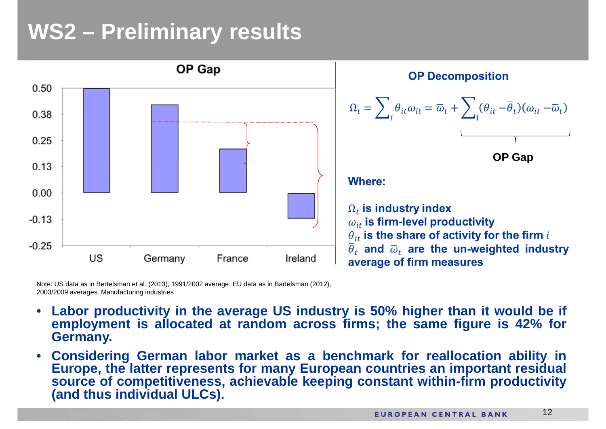## **WS2 – Preliminary results**



Note: US data as in Bertelsman et al. (2013), 1991/2002 average. EU data as in Bartelsman (2012), 2003/2009 averages. Manufacturing industries

- •Labor productivity in the average US industry is 50% higher than it would be if employment is allocated at random across firms; the same figure is 42% for **Germany.**
- $\bullet$  **Considering German labor market as <sup>a</sup> benchmark for reallocation ability in** Europe, the latter represents for many European countries an important residual **source of competitiveness, achievable keeping constant within-firm productivity (and thus individual ULCs).**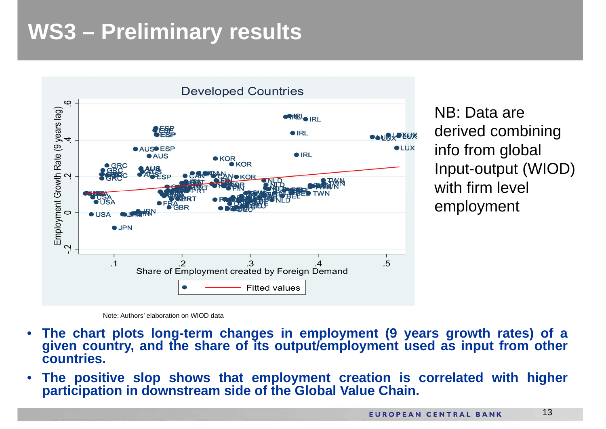## **WS3 – Preliminary results**



NB: Data are derived combining info from global Input-output (WIOD) with firm level employment

Note: Authors' elaboration on WIOD data

- •The chart plots long-term changes in employment (9 years growth rates) of a given country, and the share of its output/employment used as input from other **countries.**
- • **The positive slop shows that employment creation is correlated with higher participation in downstream side of the Global Value Chain.**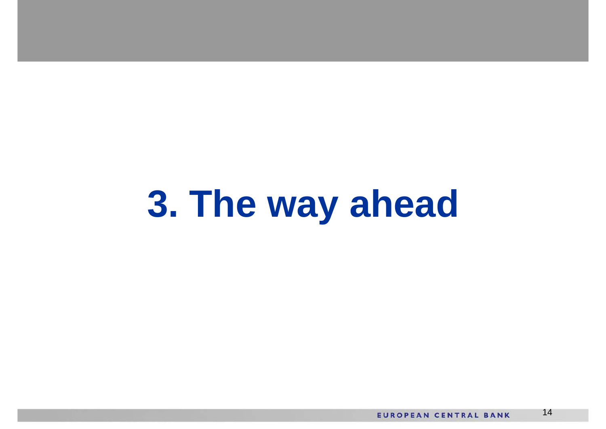# **3. The way ahead**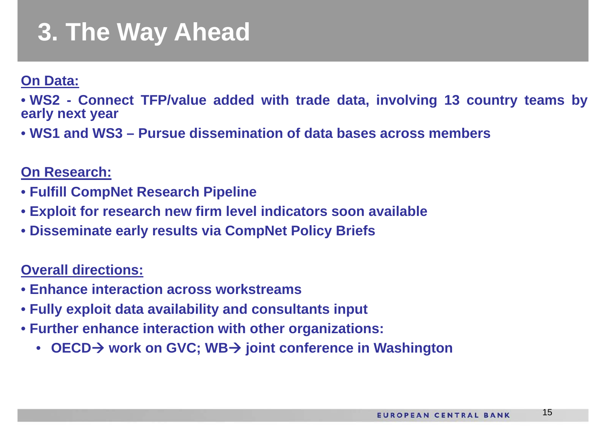## **3. The Way Ahead**

**On Data:**

• WS2 - Connect TFP/value added with trade data, involving 13 country teams by **early next year**

• **WS1 and WS3 – Pursue dissemination of data bases across members**

**On Research:**

- **Fulfill CompNet Research Pipeline**
- **Exploit for research new firm level indicators soon available**
- **Disseminate early results via CompNet Policy Briefs**

**Overall directions:**

- **Enhance interaction across workstreams**
- **Fully exploit data availability and consultants input**
- **Further enhance interaction with other organizations:**
	- **OECD work on GVC; WB joint conference in Washington**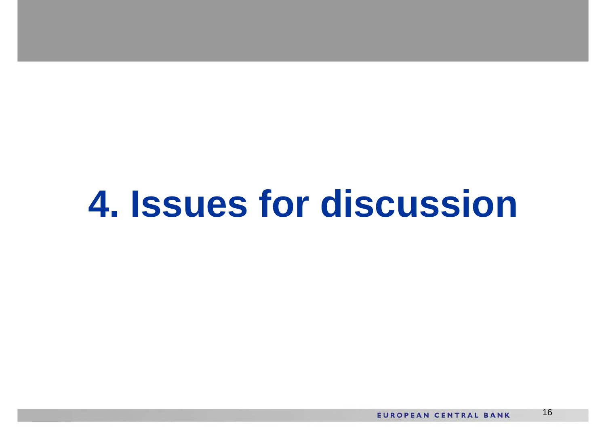## **4. Issues for discussion**